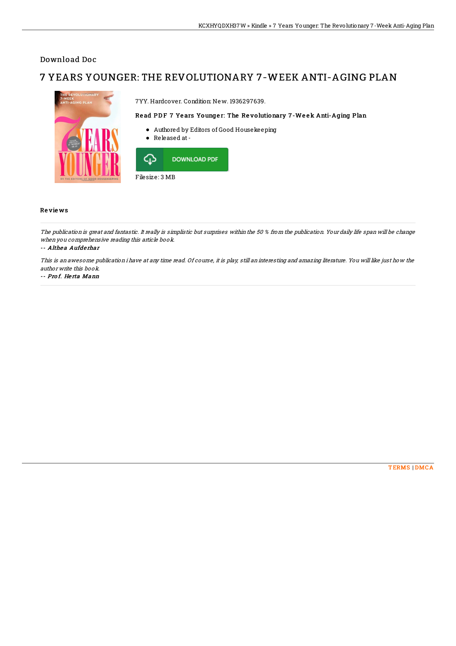## Download Doc

## 7 YEARS YOUNGER: THE REVOLUTIONARY 7-WEEK ANTI-AGING PLAN



Filesize: 3 MB

## **Reviews**

The publication is great and fantastic. It really is simplistic but surprises within the 50 % from the publication. Your daily life span will be change when you comprehensive reading this article book.

-- Althea Aufderhar

This is an awesome publication i have at any time read. Of course, it is play, still an interesting and amazing literature. You will like just how the author write this book.

-- Prof. Herta Mann